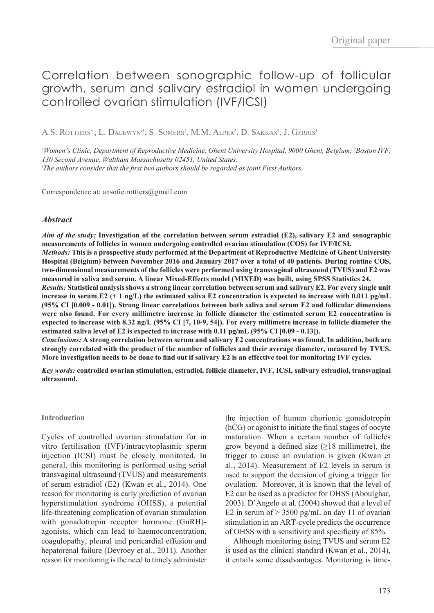# Correlation between sonographic follow-up of follicular growth, serum and salivary estradiol in women undergoing controlled ovarian stimulation (IVF/ICSI)

A.S. ROTTIERS<sup>†1</sup>, L. DALEWYN<sup>†1</sup>, S. SOMERS<sup>1</sup>, M.M. ALPER<sup>2</sup>, D. SAKKAS<sup>2</sup>, J. GERRIS<sup>1</sup>

*1 Women's Clinic, Department of Reproductive Medicine, Ghent University Hospital, 9000 Ghent, Belgium; 2 Boston IVF, 130 Second Avenue, Waltham Massachusetts 02451, United States. ϯ The authors consider that the first two authors should be regarded as joint First Authors.*

Correspondence at: ansofie.rottiers@gmail.com

## *Abstract*

*Aim of the study:* **Investigation of the correlation between serum estradiol (E2), salivary E2 and sonographic measurements of follicles in women undergoing controlled ovarian stimulation (COS) for IVF/ICSI.**  *Methods:* **This is a prospective study performed at the Department of Reproductive Medicine of Ghent University Hospital (Belgium) between November 2016 and January 2017 over a total of 40 patients. During routine COS, two-dimensional measurements of the follicles were performed using transvaginal ultrasound (TVUS) and E2 was measured in saliva and serum. A linear Mixed-Effects model (MIXED) was built, using SPSS Statistics 24.**  *Results:* **Statistical analysis shows a strong linear correlation between serum and salivary E2. For every single unit increase in serum E2 (+ 1 ng/L) the estimated saliva E2 concentration is expected to increase with 0.011 pg/mL (95% CI [0.009 - 0.01]). Strong linear correlations between both saliva and serum E2 and follicular dimensions were also found. For every millimetre increase in follicle diameter the estimated serum E2 concentration is expected to increase with 8.32 ng/L (95% CI [7, 10-9, 54]). For every millimetre increase in follicle diameter the estimated saliva level of E2 is expected to increase with 0.11 pg/mL (95% CI [0.09 - 0.13]).** *Conclusions:* **A strong correlation between serum and salivary E2 concentrations was found. In addition, both are** 

**strongly correlated with the product of the number of follicles and their average diameter, measured by TVUS. More investigation needs to be done to find out if salivary E2 is an effective tool for monitoring IVF cycles.** 

*Key words:* **controlled ovarian stimulation, estradiol, follicle diameter, IVF, ICSI, salivary estradiol, transvaginal ultrasound.**

## **Introduction**

Cycles of controlled ovarian stimulation for in vitro fertilisation (IVF)/intracytoplasmic sperm injection (ICSI) must be closely monitored. In general, this monitoring is performed using serial transvaginal ultrasound (TVUS) and measurements of serum estradiol (E2) (Kwan et al., 2014). One reason for monitoring is early prediction of ovarian hyperstimulation syndrome (OHSS), a potential life-threatening complication of ovarian stimulation with gonadotropin receptor hormone (GnRH)agonists, which can lead to haemoconcentration, coagulopathy, pleural and pericardial effusion and hepatorenal failure (Devroey et al., 2011). Another reason for monitoring is the need to timely administer the injection of human chorionic gonadotropin (hCG) or agonist to initiate the final stages of oocyte maturation. When a certain number of follicles grow beyond a defined size  $(\geq 18 \text{ millimetre})$ , the trigger to cause an ovulation is given (Kwan et al., 2014). Measurement of E2 levels in serum is used to support the decision of giving a trigger for ovulation. Moreover, it is known that the level of E2 can be used as a predictor for OHSS (Aboulghar, 2003). D'Angelo et al. (2004) showed that a level of E2 in serum of  $> 3500$  pg/mL on day 11 of ovarian stimulation in an ART-cycle predicts the occurrence of OHSS with a sensitivity and specificity of 85%.

Although monitoring using TVUS and serum E2 is used as the clinical standard (Kwan et al., 2014), it entails some disadvantages. Monitoring is time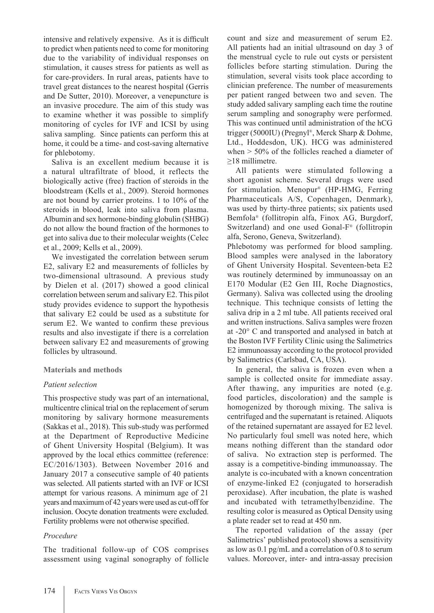intensive and relatively expensive. As it is difficult to predict when patients need to come for monitoring due to the variability of individual responses on stimulation, it causes stress for patients as well as for care-providers. In rural areas, patients have to travel great distances to the nearest hospital (Gerris and De Sutter, 2010). Moreover, a venepuncture is an invasive procedure. The aim of this study was to examine whether it was possible to simplify monitoring of cycles for IVF and ICSI by using saliva sampling. Since patients can perform this at home, it could be a time- and cost-saving alternative for phlebotomy.

Saliva is an excellent medium because it is a natural ultrafiltrate of blood, it reflects the biologically active (free) fraction of steroids in the bloodstream (Kells et al., 2009). Steroid hormones are not bound by carrier proteins. 1 to 10% of the steroids in blood, leak into saliva from plasma. Albumin and sex hormone-binding globulin (SHBG) do not allow the bound fraction of the hormones to get into saliva due to their molecular weights (Celec et al., 2009; Kells et al., 2009).

We investigated the correlation between serum E2, salivary E2 and measurements of follicles by two-dimensional ultrasound. A previous study by Dielen et al. (2017) showed a good clinical correlation between serum and salivary E2. This pilot study provides evidence to support the hypothesis that salivary E2 could be used as a substitute for serum E2. We wanted to confirm these previous results and also investigate if there is a correlation between salivary E2 and measurements of growing follicles by ultrasound.

# **Materials and methods**

# *Patient selection*

This prospective study was part of an international, multicentre clinical trial on the replacement of serum monitoring by salivary hormone measurements (Sakkas et al., 2018). This sub-study was performed at the Department of Reproductive Medicine of Ghent University Hospital (Belgium). It was approved by the local ethics committee (reference: EC/2016/1303). Between November 2016 and January 2017 a consecutive sample of 40 patients was selected. All patients started with an IVF or ICSI attempt for various reasons. A minimum age of 21 years and maximum of 42 years were used as cut-off for inclusion. Oocyte donation treatments were excluded. Fertility problems were not otherwise specified.

# *Procedure*

The traditional follow-up of COS comprises assessment using vaginal sonography of follicle count and size and measurement of serum E2. All patients had an initial ultrasound on day 3 of the menstrual cycle to rule out cysts or persistent follicles before starting stimulation. During the stimulation, several visits took place according to clinician preference. The number of measurements per patient ranged between two and seven. The study added salivary sampling each time the routine serum sampling and sonography were performed. This was continued until administration of the hCG trigger (5000IU) (Pregnyl®, Merck Sharp & Dohme, Ltd., Hoddesdon, UK). HCG was administered when > 50% of the follicles reached a diameter of ≥18 millimetre.

All patients were stimulated following a short agonist scheme. Several drugs were used for stimulation. Menopur® (HP-HMG, Ferring Pharmaceuticals A/S, Copenhagen, Denmark), was used by thirty-three patients; six patients used Bemfola® (follitropin alfa, Finox AG, Burgdorf, Switzerland) and one used Gonal-F® (follitropin alfa, Serono, Geneva, Switzerland).

Phlebotomy was performed for blood sampling. Blood samples were analysed in the laboratory of Ghent University Hospital. Seventeen-beta E2 was routinely determined by immunoassay on an E170 Modular (E2 Gen III, Roche Diagnostics, Germany). Saliva was collected using the drooling technique. This technique consists of letting the saliva drip in a 2 ml tube. All patients received oral and written instructions. Saliva samples were frozen at -20° C and transported and analysed in batch at the Boston IVF Fertility Clinic using the Salimetrics E2 immunoassay according to the protocol provided by Salimetrics (Carlsbad, CA, USA).

In general, the saliva is frozen even when a sample is collected onsite for immediate assay. After thawing, any impurities are noted (e.g. food particles, discoloration) and the sample is homogenized by thorough mixing. The saliva is centrifuged and the supernatant is retained. Aliquots of the retained supernatant are assayed for E2 level. No particularly foul smell was noted here, which means nothing different than the standard odor of saliva. No extraction step is performed. The assay is a competitive-binding immunoassay. The analyte is co-incubated with a known concentration of enzyme-linked E2 (conjugated to horseradish peroxidase). After incubation, the plate is washed and incubated with tetramethylbenzidine. The resulting color is measured as Optical Density using a plate reader set to read at 450 nm.

The reported validation of the assay (per Salimetrics' published protocol) shows a sensitivity as low as 0.1 pg/mL and a correlation of 0.8 to serum values. Moreover, inter- and intra-assay precision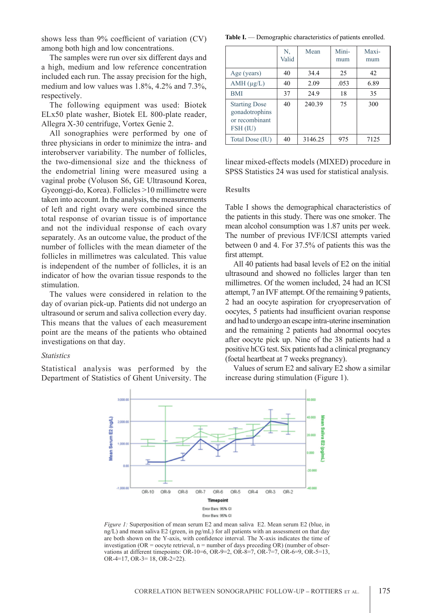shows less than 9% coefficient of variation (CV) among both high and low concentrations.

The samples were run over six different days and a high, medium and low reference concentration included each run. The assay precision for the high, medium and low values was 1.8%, 4.2% and 7.3%, respectively.

The following equipment was used: Biotek ELx50 plate washer, Biotek EL 800-plate reader, Allegra X-30 centrifuge, Vortex Genie 2.

All sonographies were performed by one of three physicians in order to minimize the intra- and interobserver variability. The number of follicles, the two-dimensional size and the thickness of the endometrial lining were measured using a vaginal probe (Voluson S6, GE Ultrasound Korea, Gyeonggi-do, Korea). Follicles >10 millimetre were taken into account. In the analysis, the measurements of left and right ovary were combined since the total response of ovarian tissue is of importance and not the individual response of each ovary separately. As an outcome value, the product of the number of follicles with the mean diameter of the follicles in millimetres was calculated. This value is independent of the number of follicles, it is an indicator of how the ovarian tissue responds to the stimulation.

The values were considered in relation to the day of ovarian pick-up. Patients did not undergo an ultrasound or serum and saliva collection every day. This means that the values of each measurement point are the means of the patients who obtained investigations on that day.

## *Statistics*

Statistical analysis was performed by the Department of Statistics of Ghent University. The

Table I. — Demographic characteristics of patients enrolled.

|                                                                      | N.<br>Valid | Mean    | Mini-<br>mum | Maxi-<br>mum |
|----------------------------------------------------------------------|-------------|---------|--------------|--------------|
| Age (years)                                                          | 40          | 34.4    | 25           | 42           |
| $AMH$ ( $\mu$ g/L)                                                   | 40          | 2.09    | .053         | 6.89         |
| <b>BMI</b>                                                           | 37          | 24.9    | 18           | 35           |
| <b>Starting Dose</b><br>gonadotrophins<br>or recombinant<br>FSH (IU) | 40          | 240.39  | 75           | 300          |
| Total Dose (IU)                                                      | 40          | 3146.25 | 975          | 7125         |

linear mixed-effects models (MIXED) procedure in SPSS Statistics 24 was used for statistical analysis.

#### **Results**

Table I shows the demographical characteristics of the patients in this study. There was one smoker. The mean alcohol consumption was 1.87 units per week. The number of previous IVF/ICSI attempts varied between 0 and 4. For 37.5% of patients this was the first attempt.

All 40 patients had basal levels of E2 on the initial ultrasound and showed no follicles larger than ten millimetres. Of the women included, 24 had an ICSI attempt, 7 an IVF attempt. Of the remaining 9 patients, 2 had an oocyte aspiration for cryopreservation of oocytes, 5 patients had insufficient ovarian response and had to undergo an escape intra-uterine insemination and the remaining 2 patients had abnormal oocytes after oocyte pick up. Nine of the 38 patients had a positive hCG test. Six patients had a clinical pregnancy (foetal heartbeat at 7 weeks pregnancy).

Values of serum E2 and salivary E2 show a similar increase during stimulation (Figure 1).



*Figure 1:* Superposition of mean serum E2 and mean saliva E2. Mean serum E2 (blue, in ng/L) and mean saliva E2 (green, in pg/mL) for all patients with an assessment on that day are both shown on the Y-axis, with confidence interval. The X-axis indicates the time of investigation (OR = oocyte retrieval,  $n =$  number of days preceding OR) (number of observations at different timepoints: OR-10=6, OR-9=2, OR-8=7, OR-7=7, OR-6=9, OR-5=13, OR-4=17, OR-3= 18, OR-2=22).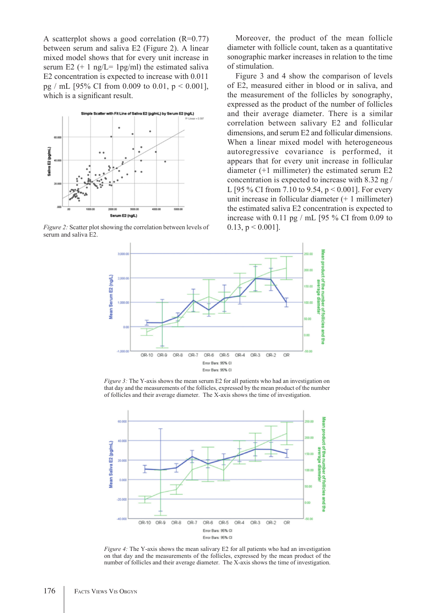A scatterplot shows a good correlation  $(R=0.77)$ between serum and saliva E2 (Figure 2). A linear mixed model shows that for every unit increase in serum E2  $(+ 1 \text{ ng/L} = 1 \text{ pg/ml})$  the estimated saliva E2 concentration is expected to increase with 0.011 pg / mL [95% CI from 0.009 to 0.01,  $p < 0.001$ ], which is a significant result.



*Figure 2:* Scatter plot showing the correlation between levels of  $0.13$ ,  $p < 0.001$ . serum and saliva E2.

Moreover, the product of the mean follicle diameter with follicle count, taken as a quantitative sonographic marker increases in relation to the time of stimulation.

Figure 3 and 4 show the comparison of levels of E2, measured either in blood or in saliva, and the measurement of the follicles by sonography, expressed as the product of the number of follicles and their average diameter. There is a similar correlation between salivary E2 and follicular dimensions, and serum E2 and follicular dimensions. When a linear mixed model with heterogeneous autoregressive covariance is performed, it appears that for every unit increase in follicular diameter (+1 millimeter) the estimated serum E2 concentration is expected to increase with 8.32 ng / L [95 % CI from 7.10 to 9.54,  $p < 0.001$ ]. For every unit increase in follicular diameter (+ 1 millimeter) the estimated saliva E2 concentration is expected to increase with  $0.11$  pg / mL [95 % CI from 0.09 to



*Figure 3:* The Y-axis shows the mean serum E2 for all patients who had an investigation on that day and the measurements of the follicles, expressed by the mean product of the number of follicles and their average diameter. The X-axis shows the time of investigation.



*Figure 4:* The Y-axis shows the mean salivary E2 for all patients who had an investigation on that day and the measurements of the follicles, expressed by the mean product of the number of follicles and their average diameter. The X-axis shows the time of investigation.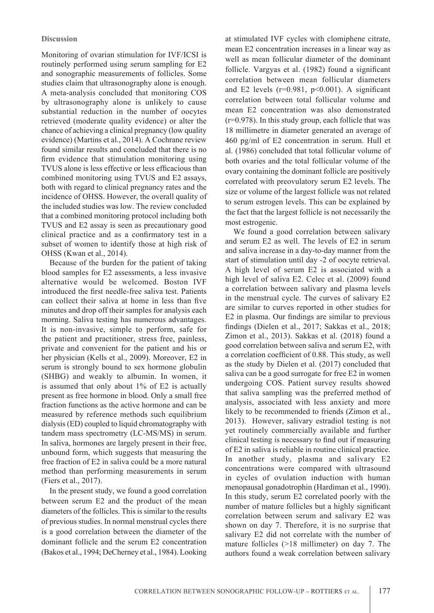Monitoring of ovarian stimulation for IVF/ICSI is routinely performed using serum sampling for E2 and sonographic measurements of follicles. Some studies claim that ultrasonography alone is enough. A meta-analysis concluded that monitoring COS by ultrasonography alone is unlikely to cause substantial reduction in the number of oocytes retrieved (moderate quality evidence) or alter the chance of achieving a clinical pregnancy (low quality evidence) (Martins et al., 2014). A Cochrane review found similar results and concluded that there is no firm evidence that stimulation monitoring using TVUS alone is less effective or less efficacious than combined monitoring using TVUS and E2 assays, both with regard to clinical pregnancy rates and the incidence of OHSS. However, the overall quality of the included studies was low. The review concluded that a combined monitoring protocol including both TVUS and E2 assay is seen as precautionary good clinical practice and as a confirmatory test in a subset of women to identify those at high risk of OHSS (Kwan et al., 2014).

Because of the burden for the patient of taking blood samples for E2 assessments, a less invasive alternative would be welcomed. Boston IVF introduced the first needle-free saliva test. Patients can collect their saliva at home in less than five minutes and drop off their samples for analysis each morning. Saliva testing has numerous advantages. It is non-invasive, simple to perform, safe for the patient and practitioner, stress free, painless, private and convenient for the patient and his or her physician (Kells et al., 2009). Moreover, E2 in serum is strongly bound to sex hormone globulin (SHBG) and weakly to albumin. In women, it is assumed that only about 1% of E2 is actually present as free hormone in blood. Only a small free fraction functions as the active hormone and can be measured by reference methods such equilibrium dialysis (ED) coupled to liquid chromatography with tandem mass spectrometry (LC-MS/MS) in serum. In saliva, hormones are largely present in their free, unbound form, which suggests that measuring the free fraction of E2 in saliva could be a more natural method than performing measurements in serum (Fiers et al., 2017).

In the present study, we found a good correlation between serum E2 and the product of the mean diameters of the follicles. This is similar to the results of previous studies. In normal menstrual cycles there is a good correlation between the diameter of the dominant follicle and the serum E2 concentration (Bakos et al., 1994; DeCherney et al., 1984). Looking at stimulated IVF cycles with clomiphene citrate, mean E2 concentration increases in a linear way as well as mean follicular diameter of the dominant follicle. Vargyas et al. (1982) found a significant correlation between mean follicular diameters and E2 levels ( $r=0.981$ ,  $p<0.001$ ). A significant correlation between total follicular volume and mean E2 concentration was also demonstrated (r=0.978). In this study group, each follicle that was 18 millimetre in diameter generated an average of 460 pg/ml of E2 concentration in serum. Hull et al. (1986) concluded that total follicular volume of both ovaries and the total follicular volume of the ovary containing the dominant follicle are positively correlated with preovulatory serum E2 levels. The size or volume of the largest follicle was not related to serum estrogen levels. This can be explained by the fact that the largest follicle is not necessarily the most estrogenic.

We found a good correlation between salivary and serum E2 as well. The levels of E2 in serum and saliva increase in a day-to-day manner from the start of stimulation until day -2 of oocyte retrieval. A high level of serum E2 is associated with a high level of saliva E2. Celec et al. (2009) found a correlation between salivary and plasma levels in the menstrual cycle. The curves of salivary E2 are similar to curves reported in other studies for E2 in plasma. Our findings are similar to previous findings (Dielen et al., 2017; Sakkas et al., 2018; Zimon et al., 2013). Sakkas et al. (2018) found a good correlation between saliva and serum E2, with a correlation coefficient of 0.88. This study, as well as the study by Dielen et al. (2017) concluded that saliva can be a good surrogate for free E2 in women undergoing COS. Patient survey results showed that saliva sampling was the preferred method of analysis, associated with less anxiety and more likely to be recommended to friends (Zimon et al., 2013). However, salivary estradiol testing is not yet routinely commercially available and further clinical testing is necessary to find out if measuring of E2 in saliva is reliable in routine clinical practice. In another study, plasma and salivary E2 concentrations were compared with ultrasound in cycles of ovulation induction with human menopausal gonadotrophin (Hardiman et al., 1990). In this study, serum E2 correlated poorly with the number of mature follicles but a highly significant correlation between serum and salivary E2 was shown on day 7. Therefore, it is no surprise that salivary E2 did not correlate with the number of mature follicles (>18 millimeter) on day 7. The authors found a weak correlation between salivary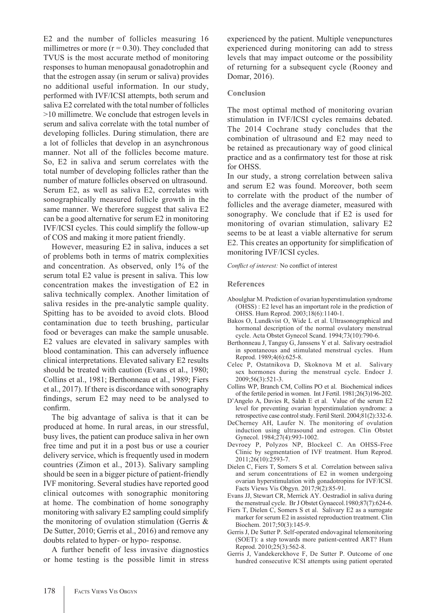E2 and the number of follicles measuring 16 millimetres or more  $(r = 0.30)$ . They concluded that TVUS is the most accurate method of monitoring responses to human menopausal gonadotrophin and that the estrogen assay (in serum or saliva) provides no additional useful information. In our study, performed with IVF/ICSI attempts, both serum and saliva E2 correlated with the total number of follicles >10 millimetre. We conclude that estrogen levels in serum and saliva correlate with the total number of developing follicles. During stimulation, there are a lot of follicles that develop in an asynchronous manner. Not all of the follicles become mature. So, E2 in saliva and serum correlates with the total number of developing follicles rather than the number of mature follicles observed on ultrasound. Serum E2, as well as saliva E2, correlates with sonographically measured follicle growth in the same manner. We therefore suggest that saliva E2 can be a good alternative for serum E2 in monitoring IVF/ICSI cycles. This could simplify the follow-up of COS and making it more patient friendly.

However, measuring E2 in saliva, induces a set of problems both in terms of matrix complexities and concentration. As observed, only 1% of the serum total E2 value is present in saliva. This low concentration makes the investigation of E2 in saliva technically complex. Another limitation of saliva resides in the pre-analytic sample quality. Spitting has to be avoided to avoid clots. Blood contamination due to teeth brushing, particular food or beverages can make the sample unusable. E2 values are elevated in salivary samples with blood contamination. This can adversely influence clinical interpretations. Elevated salivary E2 results should be treated with caution (Evans et al., 1980; Collins et al., 1981; Berthonneau et al., 1989; Fiers et al., 2017). If there is discordance with sonography findings, serum E2 may need to be analysed to confirm.

The big advantage of saliva is that it can be produced at home. In rural areas, in our stressful, busy lives, the patient can produce saliva in her own free time and put it in a post bus or use a courier delivery service, which is frequently used in modern countries (Zimon et al., 2013). Salivary sampling should be seen in a bigger picture of patient-friendly IVF monitoring. Several studies have reported good clinical outcomes with sonographic monitoring at home. The combination of home sonography monitoring with salivary E2 sampling could simplify the monitoring of ovulation stimulation (Gerris & De Sutter, 2010; Gerris et al., 2016) and remove any doubts related to hyper- or hypo- response.

A further benefit of less invasive diagnostics or home testing is the possible limit in stress experienced by the patient. Multiple venepunctures experienced during monitoring can add to stress levels that may impact outcome or the possibility of returning for a subsequent cycle (Rooney and Domar, 2016).

## **Conclusion**

The most optimal method of monitoring ovarian stimulation in IVF/ICSI cycles remains debated. The 2014 Cochrane study concludes that the combination of ultrasound and E2 may need to be retained as precautionary way of good clinical practice and as a confirmatory test for those at risk for OHSS.

In our study, a strong correlation between saliva and serum E2 was found. Moreover, both seem to correlate with the product of the number of follicles and the average diameter, measured with sonography. We conclude that if E2 is used for monitoring of ovarian stimulation, salivary E2 seems to be at least a viable alternative for serum E2. This creates an opportunity for simplification of monitoring IVF/ICSI cycles.

*Conflict of interest:* No conflict of interest

#### **References**

- Aboulghar M. Prediction of ovarian hyperstimulation syndrome (OHSS) : E2 level has an important role in the prediction of OHSS. Hum Reprod. 2003;18(6):1140-1.
- Bakos O, Lundkvist O, Wide L et al. Ultrasonographical and hormonal description of the normal ovulatory menstrual cycle. Acta Obstet Gynecol Scand. 1994;73(10):790-6.
- Berthonneau J, Tanguy G, Janssens Y et al. Salivary oestradiol in spontaneous and stimulated menstrual cycles. Hum Reprod. 1989;4(6):625-8.
- Celec P, Ostatnikova D, Skoknova M et al. Salivary sex hormones during the menstrual cycle. Endocr J. 2009;56(3):521-3.
- Collins WP, Branch CM, Collins PO et al. Biochemical indices of the fertile period in women. Int J Fertil. 1981;26(3)196-202.
- D'Angelo A, Davies R, Salah E et al. Value of the serum E2 level for preventing ovarian hyperstimulation syndrome: a retrospective case control study. Fertil Steril. 2004;81(2):332-6.
- DeCherney AH, Laufer N. The monitoring of ovulation induction using ultrasound and estrogen. Clin Obstet Gynecol. 1984;27(4):993-1002.
- Devroey P, Polyzos NP, Blockeel C. An OHSS-Free Clinic by segmentation of IVF treatment. Hum Reprod. 2011;26(10):2593-7.
- Dielen C, Fiers T, Somers S et al. Correlation between saliva and serum concentrations of E2 in women undergoing ovarian hyperstimulation with gonadotropins for IVF/ICSI. Facts Views Vis Obgyn. 2017;9(2):85-91.
- Evans JJ, Stewart CR, Merrick AY. Oestradiol in saliva during the menstrual cycle. Br J Obstet Gynaecol.1980;87(7):624-6.
- Fiers T, Dielen C, Somers S et al. Salivary E2 as a surrogate marker for serum E2 in assisted reproduction treatment. Clin Biochem. 2017;50(3):145-9.
- Gerris J, De Sutter P. Self-operated endovaginal telemonitoring (SOET): a step towards more patient-centred ART? Hum Reprod. 2010;25(3):562-8.
- Gerris J, Vandekerckhove F, De Sutter P. Outcome of one hundred consecutive ICSI attempts using patient operated